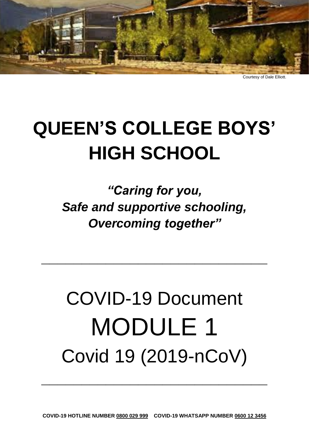

Courtesy of Dale Elliott.

# **QUEEN'S COLLEGE BOYS' HIGH SCHOOL**

*"Caring for you, Safe and supportive schooling, Overcoming together"* 

**\_\_\_\_\_\_\_\_\_\_\_\_\_\_\_\_\_\_\_\_\_\_\_\_\_\_\_\_**

# COVID-19 Document MODULE 1 Covid 19 (2019-nCoV)

**\_\_\_\_\_\_\_\_\_\_\_\_\_\_\_\_\_\_\_\_\_\_\_\_\_\_\_\_**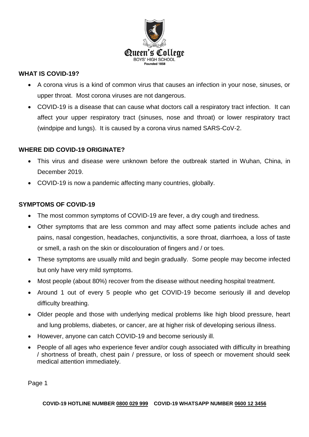

### **WHAT IS COVID-19?**

- A corona virus is a kind of common virus that causes an infection in your nose, sinuses, or upper throat. Most corona viruses are not dangerous.
- COVID-19 is a disease that can cause what doctors call a respiratory tract infection. It can affect your upper respiratory tract (sinuses, nose and throat) or lower respiratory tract (windpipe and lungs). It is caused by a corona virus named SARS-CoV-2.

#### **WHERE DID COVID-19 ORIGINATE?**

- This virus and disease were unknown before the outbreak started in Wuhan, China, in December 2019.
- COVID-19 is now a pandemic affecting many countries, globally.

#### **SYMPTOMS OF COVID-19**

- The most common symptoms of COVID-19 are fever, a dry cough and tiredness.
- Other symptoms that are less common and may affect some patients include aches and pains, nasal congestion, headaches, conjunctivitis, a sore throat, diarrhoea, a loss of taste or smell, a rash on the skin or discolouration of fingers and / or toes.
- These symptoms are usually mild and begin gradually. Some people may become infected but only have very mild symptoms.
- Most people (about 80%) recover from the disease without needing hospital treatment.
- Around 1 out of every 5 people who get COVID-19 become seriously ill and develop difficulty breathing.
- Older people and those with underlying medical problems like high blood pressure, heart and lung problems, diabetes, or cancer, are at higher risk of developing serious illness.
- However, anyone can catch COVID-19 and become seriously ill.
- People of all ages who experience fever and/or cough associated with difficulty in breathing / shortness of breath, chest pain / pressure, or loss of speech or movement should seek medical attention immediately.

Page 1